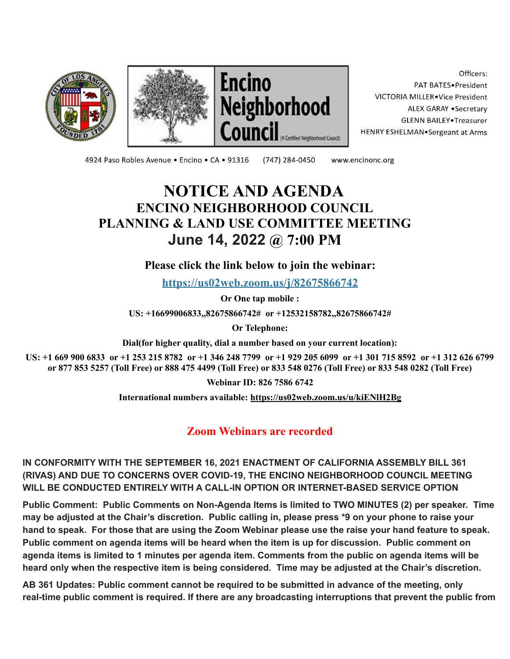

Officers: PAT BATES.President VICTORIA MILLER.Vice President ALEX GARAY . Secretary **GLENN BAILEY** Treasurer HENRY ESHELMAN.Sergeant at Arms

4924 Paso Robles Avenue . Encino . CA . 91316 (747) 284-0450 www.encinonc.org

# **NOTICE AND AGENDA ENCINO NEIGHBORHOOD COUNCIL PLANNING & LAND USE COMMITTEE MEETING June 14, 2022 @ 7:00 PM**

### **Please click the link below to join the webinar:**

**<https://us02web.zoom.us/j/82675866742>**

**Or One tap mobile :**

**US: +16699006833,,82675866742# or +12532158782,,82675866742#**

**Or Telephone:**

**Dial(for higher quality, dial a number based on your current location):**

US: +1 669 900 6833 or +1 253 215 8782 or +1 346 248 7799 or +1 929 205 6099 or +1 301 715 8592 or +1 312 626 6799 or 877 853 5257 (Toll Free) or 888 475 4499 (Toll Free) or 833 548 0276 (Toll Free) or 833 548 0282 (Toll Free)

**Webinar ID: 826 7586 6742**

**International numbers available: <https://us02web.zoom.us/u/kiENlH2Bg>**

## **Zoom Webinars are recorded**

**IN CONFORMITY WITH THE SEPTEMBER 16, 2021 ENACTMENT OF CALIFORNIA ASSEMBLY BILL 361 (RIVAS) AND DUE TO CONCERNS OVER COVID-19, THE ENCINO NEIGHBORHOOD COUNCIL MEETING WILL BE CONDUCTED ENTIRELY WITH A CALL-IN OPTION OR INTERNET-BASED SERVICE OPTION**

**Public Comment: Public Comments on Non-Agenda Items is limited to TWO MINUTES (2) per speaker. Time** may be adjusted at the Chair's discretion. Public calling in, please press \*9 on your phone to raise your hand to speak. For those that are using the Zoom Webinar please use the raise your hand feature to speak. **Public comment on agenda items will be heard when the item is up for discussion. Public comment on** agenda items is limited to 1 minutes per agenda item. Comments from the public on agenda items will be **heard only when the respective item is being considered. Time may be adjusted at the Chair's discretion.**

**AB 361 Updates: Public comment cannot be required to be submitted in advance of the meeting, only real-time public comment is required. If there are any broadcasting interruptions that prevent the public from**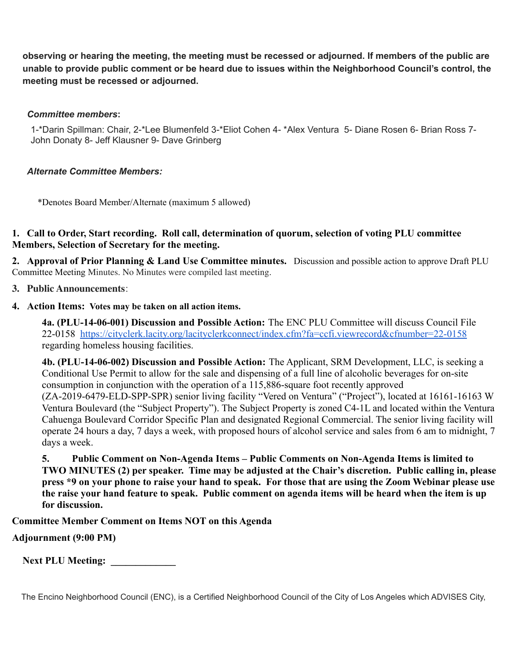observing or hearing the meeting, the meeting must be recessed or adjourned. If members of the public are **unable to provide public comment or be heard due to issues within the Neighborhood Council's control, the meeting must be recessed or adjourned.**

#### *Committee members***:**

1-\*Darin Spillman: Chair, 2-\*Lee Blumenfeld 3-\*Eliot Cohen 4- \*Alex Ventura 5- Diane Rosen 6- Brian Ross 7- John Donaty 8- Jeff Klausner 9- Dave Grinberg

#### *Alternate Committee Members:*

\*Denotes Board Member/Alternate (maximum 5 allowed)

#### **1. Call to Order, Start recording. Roll call, determination of quorum, selection of voting PLU committee Members, Selection of Secretary for the meeting.**

**2. Approval of Prior Planning & Land Use Committee minutes.** Discussion and possible action to approve Draft PLU Committee Meeting Minutes. No Minutes were compiled last meeting.

- **3. Public Announcements**:
- **4. Action Items: Votes may be taken on all action items.**

**4a. (PLU-14-06-001) Discussion and Possible Action:** The ENC PLU Committee will discuss Council File 22-0158 <https://cityclerk.lacity.org/lacityclerkconnect/index.cfm?fa=ccfi.viewrecord&cfnumber=22-0158> regarding homeless housing facilities.

**4b. (PLU-14-06-002) Discussion and Possible Action:** The Applicant, SRM Development, LLC, is seeking a Conditional Use Permit to allow for the sale and dispensing of a full line of alcoholic beverages for on-site consumption in conjunction with the operation of a 115,886-square foot recently approved (ZA-2019-6479-ELD-SPP-SPR) senior living facility "Vered on Ventura" ("Project"), located at 16161-16163 W Ventura Boulevard (the "Subject Property"). The Subject Property is zoned C4-1L and located within the Ventura Cahuenga Boulevard Corridor Specific Plan and designated Regional Commercial. The senior living facility will operate 24 hours a day, 7 days a week, with proposed hours of alcohol service and sales from 6 am to midnight, 7 days a week.

**5. Public Comment on Non-Agenda Items – Public Comments on Non-Agenda Items is limited to TWO MINUTES (2) per speaker. Time may be adjusted at the Chair's discretion. Public calling in, please press \*9 on your phone to raise your hand to speak. For those that are using the Zoom Webinar please use the raise your hand feature to speak. Public comment on agenda items will be heard when the item is up for discussion.**

**Committee Member Comment on Items NOT on this Agenda**

**Adjournment (9:00 PM)**

Next PLU Meeting:

The Encino Neighborhood Council (ENC), is a Certified Neighborhood Council of the City of Los Angeles which ADVISES City,